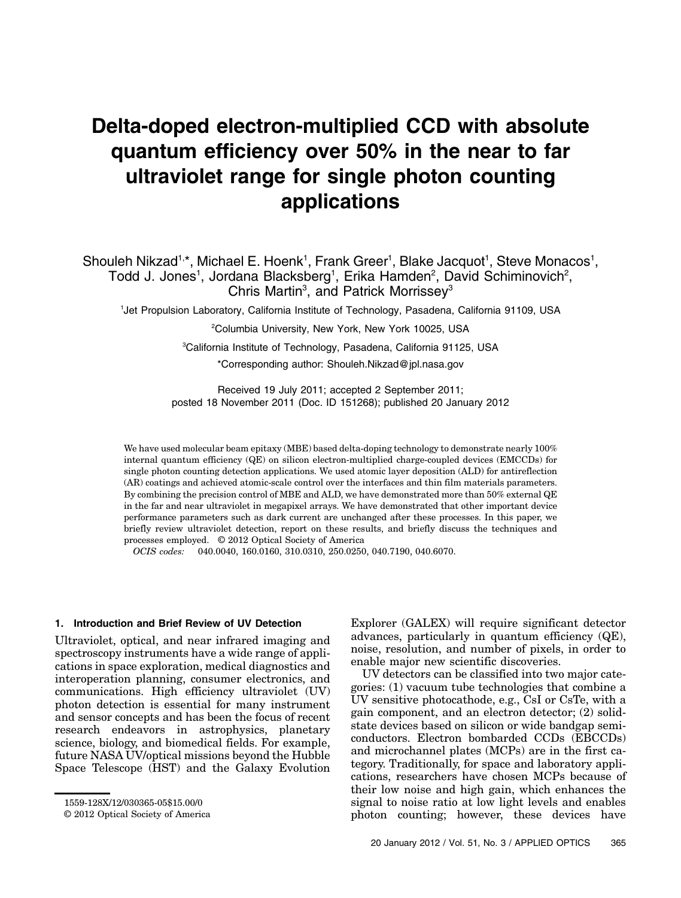# Delta-doped electron-multiplied CCD with absolute quantum efficiency over 50% in the near to far ultraviolet range for single photon counting applications

Shouleh Nikzad<sup>1,\*</sup>, Michael E. Hoenk<sup>1</sup>, Frank Greer<sup>1</sup>, Blake Jacquot<sup>1</sup>, Steve Monacos<sup>1</sup>, Todd J. Jones<sup>1</sup>, Jordana Blacksberg<sup>1</sup>, Erika Hamden<sup>2</sup>, David Schiminovich<sup>2</sup>, Chris Martin<sup>3</sup>, and Patrick Morrissey<sup>3</sup>

1 Jet Propulsion Laboratory, California Institute of Technology, Pasadena, California 91109, USA

2 Columbia University, New York, New York 10025, USA

3 California Institute of Technology, Pasadena, California 91125, USA

\*Corresponding author: Shouleh.Nikzad@jpl.nasa.gov

Received 19 July 2011; accepted 2 September 2011; posted 18 November 2011 (Doc. ID 151268); published 20 January 2012

We have used molecular beam epitaxy (MBE) based delta-doping technology to demonstrate nearly 100% internal quantum efficiency (QE) on silicon electron-multiplied charge-coupled devices (EMCCDs) for single photon counting detection applications. We used atomic layer deposition (ALD) for antireflection (AR) coatings and achieved atomic-scale control over the interfaces and thin film materials parameters. By combining the precision control of MBE and ALD, we have demonstrated more than 50% external QE in the far and near ultraviolet in megapixel arrays. We have demonstrated that other important device performance parameters such as dark current are unchanged after these processes. In this paper, we briefly review ultraviolet detection, report on these results, and briefly discuss the techniques and processes employed. © 2012 Optical Society of America

OCIS codes: 040.0040, 160.0160, 310.0310, 250.0250, 040.7190, 040.6070.

### 1. Introduction and Brief Review of UV Detection

Ultraviolet, optical, and near infrared imaging and spectroscopy instruments have a wide range of applications in space exploration, medical diagnostics and interoperation planning, consumer electronics, and communications. High efficiency ultraviolet (UV) photon detection is essential for many instrument and sensor concepts and has been the focus of recent research endeavors in astrophysics, planetary science, biology, and biomedical fields. For example, future NASA UV/optical missions beyond the Hubble Space Telescope (HST) and the Galaxy Evolution

Explorer (GALEX) will require significant detector advances, particularly in quantum efficiency (QE), noise, resolution, and number of pixels, in order to enable major new scientific discoveries.

UV detectors can be classified into two major categories: (1) vacuum tube technologies that combine a UV sensitive photocathode, e.g., CsI or CsTe, with a gain component, and an electron detector; (2) solidstate devices based on silicon or wide bandgap semiconductors. Electron bombarded CCDs (EBCCDs) and microchannel plates (MCPs) are in the first category. Traditionally, for space and laboratory applications, researchers have chosen MCPs because of their low noise and high gain, which enhances the signal to noise ratio at low light levels and enables photon counting; however, these devices have

<sup>1559-128</sup>X/12/030365-05\$15.00/0

<sup>© 2012</sup> Optical Society of America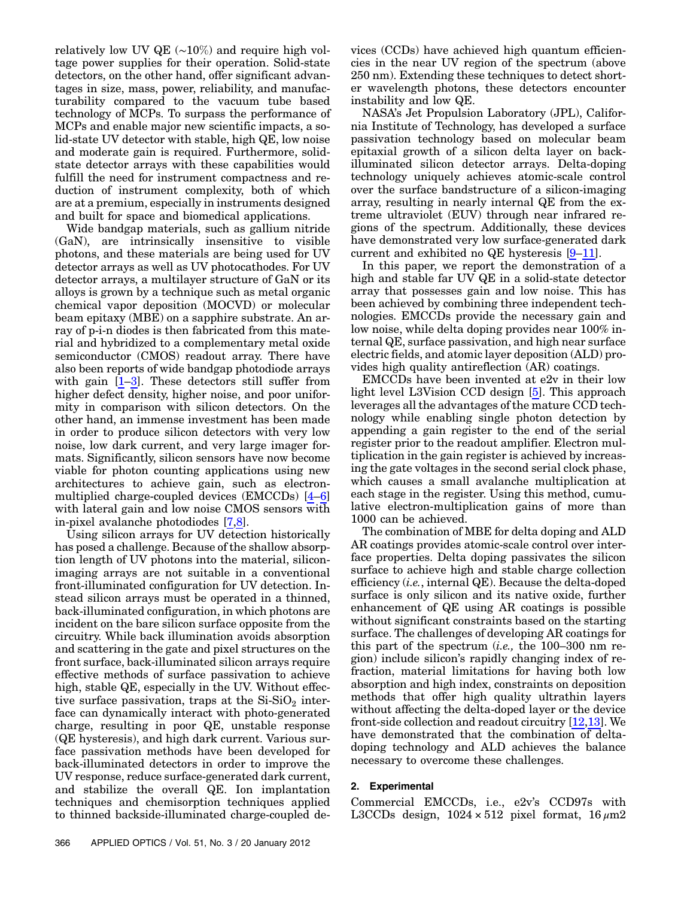relatively low UV QE (∼10%) and require high voltage power supplies for their operation. Solid-state detectors, on the other hand, offer significant advantages in size, mass, power, reliability, and manufacturability compared to the vacuum tube based technology of MCPs. To surpass the performance of MCPs and enable major new scientific impacts, a solid-state UV detector with stable, high QE, low noise and moderate gain is required. Furthermore, solidstate detector arrays with these capabilities would fulfill the need for instrument compactness and reduction of instrument complexity, both of which are at a premium, especially in instruments designed and built for space and biomedical applications.

Wide bandgap materials, such as gallium nitride (GaN), are intrinsically insensitive to visible photons, and these materials are being used for UV detector arrays as well as UV photocathodes. For UV detector arrays, a multilayer structure of GaN or its alloys is grown by a technique such as metal organic chemical vapor deposition (MOCVD) or molecular beam epitaxy (MBE) on a sapphire substrate. An array of p-i-n diodes is then fabricated from this material and hybridized to a complementary metal oxide semiconductor (CMOS) readout array. There have also been reports of wide bandgap photodiode arrays with gain  $[1-3]$  $[1-3]$  $[1-3]$ . These detectors still suffer from higher defect density, higher noise, and poor uniformity in comparison with silicon detectors. On the other hand, an immense investment has been made in order to produce silicon detectors with very low noise, low dark current, and very large imager formats. Significantly, silicon sensors have now become viable for photon counting applications using new architectures to achieve gain, such as electronmultiplied charge-coupled devices (EMCCDs) [\[4](#page-4-2)–[6\]](#page-4-3) with lateral gain and low noise CMOS sensors with in-pixel avalanche photodiodes [[7](#page-4-4)[,8\]](#page-4-5).

Using silicon arrays for UV detection historically has posed a challenge. Because of the shallow absorption length of UV photons into the material, siliconimaging arrays are not suitable in a conventional front-illuminated configuration for UV detection. Instead silicon arrays must be operated in a thinned, back-illuminated configuration, in which photons are incident on the bare silicon surface opposite from the circuitry. While back illumination avoids absorption and scattering in the gate and pixel structures on the front surface, back-illuminated silicon arrays require effective methods of surface passivation to achieve high, stable QE, especially in the UV. Without effective surface passivation, traps at the  $Si-SiO<sub>2</sub>$  interface can dynamically interact with photo-generated charge, resulting in poor QE, unstable response (QE hysteresis), and high dark current. Various surface passivation methods have been developed for back-illuminated detectors in order to improve the UV response, reduce surface-generated dark current, and stabilize the overall QE. Ion implantation techniques and chemisorption techniques applied to thinned backside-illuminated charge-coupled de-

366 APPLIED OPTICS / Vol. 51, No. 3 / 20 January 2012

vices (CCDs) have achieved high quantum efficiencies in the near UV region of the spectrum (above 250 nm). Extending these techniques to detect shorter wavelength photons, these detectors encounter instability and low QE.

NASA's Jet Propulsion Laboratory (JPL), California Institute of Technology, has developed a surface passivation technology based on molecular beam epitaxial growth of a silicon delta layer on backilluminated silicon detector arrays. Delta-doping technology uniquely achieves atomic-scale control over the surface bandstructure of a silicon-imaging array, resulting in nearly internal QE from the extreme ultraviolet (EUV) through near infrared regions of the spectrum. Additionally, these devices have demonstrated very low surface-generated dark current and exhibited no QE hysteresis [[9](#page-4-6)–[11\]](#page-4-7).

In this paper, we report the demonstration of a high and stable far UV QE in a solid-state detector array that possesses gain and low noise. This has been achieved by combining three independent technologies. EMCCDs provide the necessary gain and low noise, while delta doping provides near 100% internal QE, surface passivation, and high near surface electric fields, and atomic layer deposition (ALD) provides high quality antireflection (AR) coatings.

EMCCDs have been invented at e2v in their low light level L3Vision CCD design [\[5\]](#page-4-8). This approach leverages all the advantages of the mature CCD technology while enabling single photon detection by appending a gain register to the end of the serial register prior to the readout amplifier. Electron multiplication in the gain register is achieved by increasing the gate voltages in the second serial clock phase, which causes a small avalanche multiplication at each stage in the register. Using this method, cumulative electron-multiplication gains of more than 1000 can be achieved.

The combination of MBE for delta doping and ALD AR coatings provides atomic-scale control over interface properties. Delta doping passivates the silicon surface to achieve high and stable charge collection efficiency (i.e., internal QE). Because the delta-doped surface is only silicon and its native oxide, further enhancement of QE using AR coatings is possible without significant constraints based on the starting surface. The challenges of developing AR coatings for this part of the spectrum  $(i.e.,$  the 100–300 nm region) include silicon's rapidly changing index of refraction, material limitations for having both low absorption and high index, constraints on deposition methods that offer high quality ultrathin layers without affecting the delta-doped layer or the device front-side collection and readout circuitry [[12,](#page-4-9)[13\]](#page-4-10). We have demonstrated that the combination of deltadoping technology and ALD achieves the balance necessary to overcome these challenges.

## 2. Experimental

Commercial EMCCDs, i.e., e2v's CCD97s with L3CCDs design,  $1024 \times 512$  pixel format,  $16 \mu m2$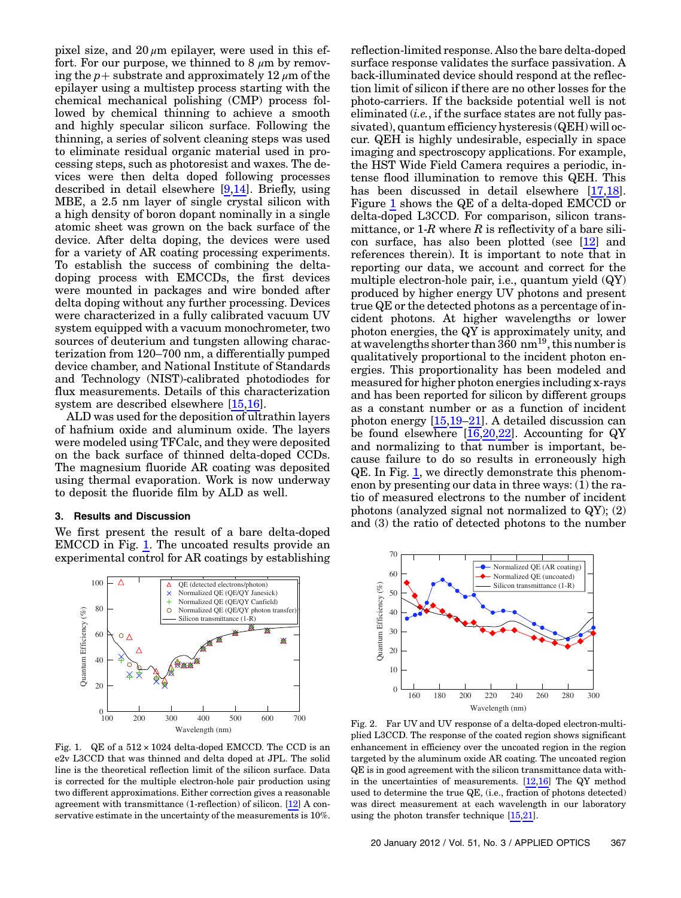pixel size, and  $20 \mu m$  epilayer, were used in this effort. For our purpose, we thinned to 8  $\mu$ m by removing the  $p+$  substrate and approximately 12  $\mu$ m of the epilayer using a multistep process starting with the chemical mechanical polishing (CMP) process followed by chemical thinning to achieve a smooth and highly specular silicon surface. Following the thinning, a series of solvent cleaning steps was used to eliminate residual organic material used in processing steps, such as photoresist and waxes. The devices were then delta doped following processes described in detail elsewhere [\[9,](#page-4-6)[14\]](#page-4-11). Briefly, using MBE, a 2.5 nm layer of single crystal silicon with a high density of boron dopant nominally in a single atomic sheet was grown on the back surface of the device. After delta doping, the devices were used for a variety of AR coating processing experiments. To establish the success of combining the deltadoping process with EMCCDs, the first devices were mounted in packages and wire bonded after delta doping without any further processing. Devices were characterized in a fully calibrated vacuum UV system equipped with a vacuum monochrometer, two sources of deuterium and tungsten allowing characterization from 120–700 nm, a differentially pumped device chamber, and National Institute of Standards and Technology (NIST)-calibrated photodiodes for flux measurements. Details of this characterization system are described elsewhere [[15](#page-4-12)[,16\]](#page-4-13).

ALD was used for the deposition of ultrathin layers of hafnium oxide and aluminum oxide. The layers were modeled using TFCalc, and they were deposited on the back surface of thinned delta-doped CCDs. The magnesium fluoride AR coating was deposited using thermal evaporation. Work is now underway to deposit the fluoride film by ALD as well.

#### 3. Results and Discussion

We first present the result of a bare delta-doped EMCCD in Fig.  $1$ . The uncoated results provide an experimental control for AR coatings by establishing

<span id="page-2-0"></span>

Fig. 1. QE of a 512 × 1024 delta-doped EMCCD. The CCD is an e2v L3CCD that was thinned and delta doped at JPL. The solid line is the theoretical reflection limit of the silicon surface. Data is corrected for the multiple electron-hole pair production using two different approximations. Either correction gives a reasonable agreement with transmittance (1-reflection) of silicon. [\[12\]](#page-4-9) A conservative estimate in the uncertainty of the measurements is 10%.

reflection-limited response. Also the bare delta-doped surface response validates the surface passivation. A back-illuminated device should respond at the reflection limit of silicon if there are no other losses for the photo-carriers. If the backside potential well is not eliminated  $(i.e.,$  if the surface states are not fully passivated), quantum efficiency hysteresis (QEH) will occur. QEH is highly undesirable, especially in space imaging and spectroscopy applications. For example, the HST Wide Field Camera requires a periodic, intense flood illumination to remove this QEH. This has been discussed in detail elsewhere [\[17](#page-4-14)[,18](#page-4-15)]. Figure [1](#page-2-0) shows the QE of a delta-doped EMCCD or delta-doped L3CCD. For comparison, silicon transmittance, or  $1-R$  where R is reflectivity of a bare silicon surface, has also been plotted (see [\[12\]](#page-4-9) and references therein). It is important to note that in reporting our data, we account and correct for the multiple electron-hole pair, i.e., quantum yield (QY) produced by higher energy UV photons and present true QE or the detected photons as a percentage of incident photons. At higher wavelengths or lower photon energies, the QY is approximately unity, and at wavelengths shorter than  $360 \text{ nm}^{19}$ , this number is qualitatively proportional to the incident photon energies. This proportionality has been modeled and measured for higher photon energies including x-rays and has been reported for silicon by different groups as a constant number or as a function of incident photon energy [\[15](#page-4-12)[,19](#page-4-16)–[21\]](#page-4-17). A detailed discussion can be found elsewhere  $[16,20,22]$  $[16,20,22]$  $[16,20,22]$  $[16,20,22]$ . Accounting for QY and normalizing to that number is important, because failure to do so results in erroneously high QE. In Fig. [1,](#page-2-0) we directly demonstrate this phenomenon by presenting our data in three ways: (1) the ratio of measured electrons to the number of incident photons (analyzed signal not normalized to QY); (2) and (3) the ratio of detected photons to the number

<span id="page-2-1"></span>

Fig. 2. Far UV and UV response of a delta-doped electron-multiplied L3CCD. The response of the coated region shows significant enhancement in efficiency over the uncoated region in the region targeted by the aluminum oxide AR coating. The uncoated region QE is in good agreement with the silicon transmittance data within the uncertainties of measurements. [[12](#page-4-9),[16](#page-4-13)] The QY method used to determine the true QE, (i.e., fraction of photons detected) was direct measurement at each wavelength in our laboratory using the photon transfer technique [\[15](#page-4-12)[,21\]](#page-4-17).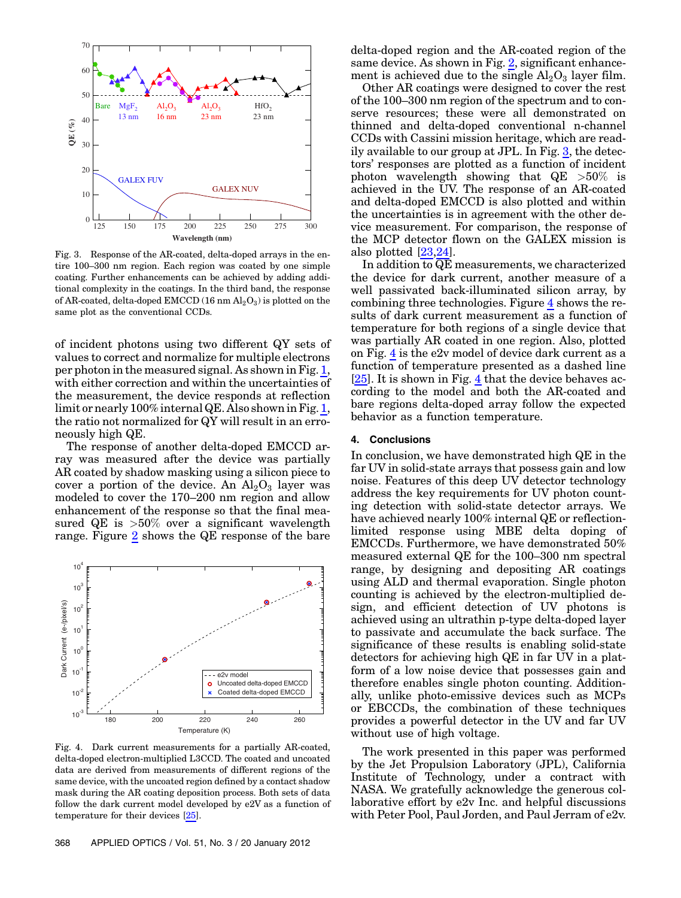<span id="page-3-0"></span>

Fig. 3. Response of the AR-coated, delta-doped arrays in the entire 100–300 nm region. Each region was coated by one simple coating. Further enhancements can be achieved by adding additional complexity in the coatings. In the third band, the response of AR-coated, delta-doped EMCCD  $(16~\mathrm{nm}~\mathrm{Al}_2\mathrm{O}_3)$  is plotted on the same plot as the conventional CCDs.

of incident photons using two different QY sets of values to correct and normalize for multiple electrons per photon in the measured signal. As shown in Fig. [1](#page-2-0), with either correction and within the uncertainties of the measurement, the device responds at reflection limit or nearly 100% internal QE. Also shown in Fig. [1](#page-2-0), the ratio not normalized for QY will result in an erroneously high QE.

The response of another delta-doped EMCCD array was measured after the device was partially AR coated by shadow masking using a silicon piece to cover a portion of the device. An  $\text{Al}_2\text{O}_3$  layer was modeled to cover the 170–200 nm region and allow enhancement of the response so that the final measured QE is  $>50\%$  over a significant wavelength range. Figure [2](#page-2-1) shows the QE response of the bare

<span id="page-3-1"></span>

Fig. 4. Dark current measurements for a partially AR-coated, delta-doped electron-multiplied L3CCD. The coated and uncoated data are derived from measurements of different regions of the same device, with the uncoated region defined by a contact shadow mask during the AR coating deposition process. Both sets of data follow the dark current model developed by e2V as a function of temperature for their devices [\[25\]](#page-4-22).

delta-doped region and the AR-coated region of the same device. As shown in Fig. [2,](#page-2-1) significant enhancement is achieved due to the single  $Al_2O_3$  layer film.

Other AR coatings were designed to cover the rest of the 100–300 nm region of the spectrum and to conserve resources; these were all demonstrated on thinned and delta-doped conventional n-channel CCDs with Cassini mission heritage, which are readily available to our group at JPL. In Fig. [3](#page-3-0), the detectors' responses are plotted as a function of incident photon wavelength showing that  $QE > 50\%$  is achieved in the UV. The response of an AR-coated and delta-doped EMCCD is also plotted and within the uncertainties is in agreement with the other device measurement. For comparison, the response of the MCP detector flown on the GALEX mission is also plotted [[23,](#page-4-20)[24\]](#page-4-21).

In addition to  $\overline{QE}$  measurements, we characterized the device for dark current, another measure of a well passivated back-illuminated silicon array, by combining three technologies. Figure [4](#page-3-1) shows the results of dark current measurement as a function of temperature for both regions of a single device that was partially AR coated in one region. Also, plotted on Fig. [4](#page-3-1) is the e2v model of device dark current as a function of temperature presented as a dashed line [\[25](#page-4-22)]. It is shown in Fig. [4](#page-3-1) that the device behaves according to the model and both the AR-coated and bare regions delta-doped array follow the expected behavior as a function temperature.

#### 4. Conclusions

In conclusion, we have demonstrated high QE in the far UV in solid-state arrays that possess gain and low noise. Features of this deep UV detector technology address the key requirements for UV photon counting detection with solid-state detector arrays. We have achieved nearly 100% internal QE or reflectionlimited response using MBE delta doping of EMCCDs. Furthermore, we have demonstrated 50% measured external QE for the 100–300 nm spectral range, by designing and depositing AR coatings using ALD and thermal evaporation. Single photon counting is achieved by the electron-multiplied design, and efficient detection of UV photons is achieved using an ultrathin p-type delta-doped layer to passivate and accumulate the back surface. The significance of these results is enabling solid-state detectors for achieving high QE in far UV in a platform of a low noise device that possesses gain and therefore enables single photon counting. Additionally, unlike photo-emissive devices such as MCPs or EBCCDs, the combination of these techniques provides a powerful detector in the UV and far UV without use of high voltage.

The work presented in this paper was performed by the Jet Propulsion Laboratory (JPL), California Institute of Technology, under a contract with NASA. We gratefully acknowledge the generous collaborative effort by e2v Inc. and helpful discussions with Peter Pool, Paul Jorden, and Paul Jerram of e2v.